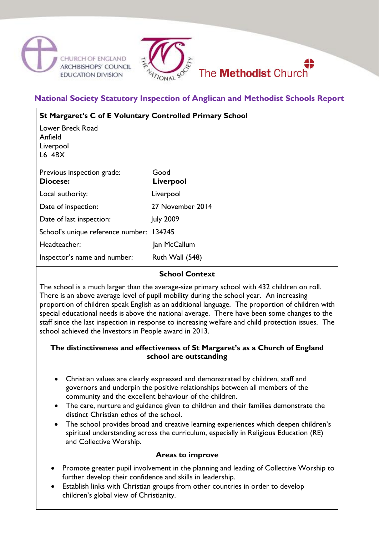



# **National Society Statutory Inspection of Anglican and Methodist Schools Report**

| St Margaret's C of E Voluntary Controlled Primary School |                  |
|----------------------------------------------------------|------------------|
| Lower Breck Road<br>Anfield<br>Liverpool<br>$L6$ $4BX$   |                  |
| Previous inspection grade:                               | Good             |
| Diocese:                                                 | <b>Liverpool</b> |
| Local authority:                                         | Liverpool        |
| Date of inspection:                                      | 27 November 2014 |
| Date of last inspection:                                 | <b>July 2009</b> |
| School's unique reference number: 134245                 |                  |
| Headteacher:                                             | Jan McCallum     |
| Inspector's name and number:                             | Ruth Wall (548)  |

# **School Context**

The school is a much larger than the average-size primary school with 432 children on roll. There is an above average level of pupil mobility during the school year. An increasing proportion of children speak English as an additional language. The proportion of children with special educational needs is above the national average. There have been some changes to the staff since the last inspection in response to increasing welfare and child protection issues. The school achieved the Investors in People award in 2013.

#### **The distinctiveness and effectiveness of St Margaret's as a Church of England school are outstanding**

- Christian values are clearly expressed and demonstrated by children, staff and governors and underpin the positive relationships between all members of the community and the excellent behaviour of the children.
- The care, nurture and guidance given to children and their families demonstrate the distinct Christian ethos of the school.
- The school provides broad and creative learning experiences which deepen children's spiritual understanding across the curriculum, especially in Religious Education (RE) and Collective Worship.

#### **Areas to improve**

- Promote greater pupil involvement in the planning and leading of Collective Worship to further develop their confidence and skills in leadership.
- Establish links with Christian groups from other countries in order to develop children's global view of Christianity.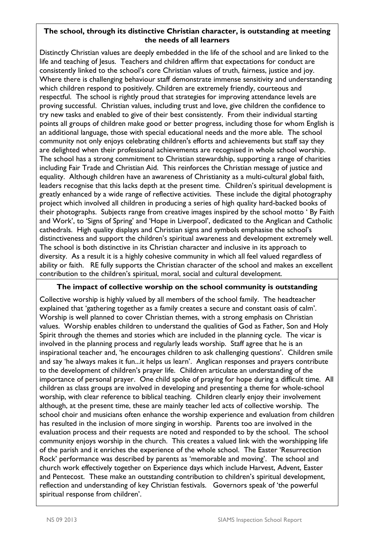## **The school, through its distinctive Christian character, is outstanding at meeting the needs of all learners**

Distinctly Christian values are deeply embedded in the life of the school and are linked to the life and teaching of Jesus. Teachers and children affirm that expectations for conduct are consistently linked to the school's core Christian values of truth, fairness, justice and joy. Where there is challenging behaviour staff demonstrate immense sensitivity and understanding which children respond to positively. Children are extremely friendly, courteous and respectful. The school is rightly proud that strategies for improving attendance levels are proving successful. Christian values, including trust and love, give children the confidence to try new tasks and enabled to give of their best consistently.From their individual starting points all groups of children make good or better progress, including those for whom English is an additional language, those with special educational needs and the more able. The school community not only enjoys celebrating children's efforts and achievements but staff say they are delighted when their professional achievements are recognised in whole school worship. The school has a strong commitment to Christian stewardship, supporting a range of charities including Fair Trade and Christian Aid. This reinforces the Christian message of justice and equality. Although children have an awareness of Christianity as a multi-cultural global faith, leaders recognise that this lacks depth at the present time. Children's spiritual development is greatly enhanced by a wide range of reflective activities. These include the digital photography project which involved all children in producing a series of high quality hard-backed books of their photographs. Subjects range from creative images inspired by the school motto ' By Faith and Work', to 'Signs of Spring' and 'Hope in Liverpool', dedicated to the Anglican and Catholic cathedrals. High quality displays and Christian signs and symbols emphasise the school's distinctiveness and support the children's spiritual awareness and development extremely well. The school is both distinctive in its Christian character and inclusive in its approach to diversity. As a result it is a highly cohesive community in which all feel valued regardless of ability or faith. RE fully supports the Christian character of the school and makes an excellent contribution to the children's spiritual, moral, social and cultural development.

#### **The impact of collective worship on the school community is outstanding**

Collective worship is highly valued by all members of the school family. The headteacher explained that 'gathering together as a family creates a secure and constant oasis of calm'. Worship is well planned to cover Christian themes, with a strong emphasis on Christian values. Worship enables children to understand the qualities of God as Father, Son and Holy Spirit through the themes and stories which are included in the planning cycle. The vicar is involved in the planning process and regularly leads worship. Staff agree that he is an inspirational teacher and, 'he encourages children to ask challenging questions'. Children smile and say 'he always makes it fun...it helps us learn'. Anglican responses and prayers contribute to the development of children's prayer life. Children articulate an understanding of the importance of personal prayer. One child spoke of praying for hope during a difficult time. All children as class groups are involved in developing and presenting a theme for whole-school worship, with clear reference to biblical teaching. Children clearly enjoy their involvement although, at the present time, these are mainly teacher led acts of collective worship. The school choir and musicians often enhance the worship experience and evaluation from children has resulted in the inclusion of more singing in worship. Parents too are involved in the evaluation process and their requests are noted and responded to by the school. The school community enjoys worship in the church. This creates a valued link with the worshipping life of the parish and it enriches the experience of the whole school. The Easter 'Resurrection Rock' performance was described by parents as 'memorable and moving'. The school and church work effectively together on Experience days which include Harvest, Advent, Easter and Pentecost. These make an outstanding contribution to children's spiritual development, reflection and understanding of key Christian festivals. Governors speak of 'the powerful spiritual response from children'.